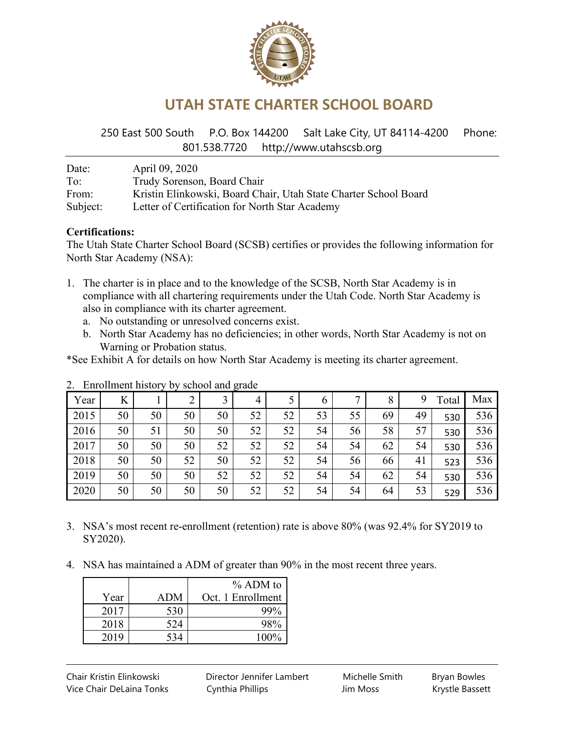

## **UTAH STATE CHARTER SCHOOL BOARD**

250 East 500 South P.O. Box 144200 Salt Lake City, UT 84114-4200 Phone: 801.538.7720 http://www.utahscsb.org

| Date:    | April 09, 2020                                                   |
|----------|------------------------------------------------------------------|
| To:      | Trudy Sorenson, Board Chair                                      |
| From:    | Kristin Elinkowski, Board Chair, Utah State Charter School Board |
| Subject: | Letter of Certification for North Star Academy                   |

#### **Certifications:**

The Utah State Charter School Board (SCSB) certifies or provides the following information for North Star Academy (NSA):

- 1. The charter is in place and to the knowledge of the SCSB, North Star Academy is in compliance with all chartering requirements under the Utah Code. North Star Academy is also in compliance with its charter agreement.
	- a. No outstanding or unresolved concerns exist.
	- b. North Star Academy has no deficiencies; in other words, North Star Academy is not on Warning or Probation status.

\*See Exhibit A for details on how North Star Academy is meeting its charter agreement.

|      |    |    |    |    | <u>.</u> |    |               |    |    |    |       |     |
|------|----|----|----|----|----------|----|---------------|----|----|----|-------|-----|
| Year | K  |    |    |    | 4        |    | $\mathfrak b$ | 7  | 8  | 9  | Total | Max |
| 2015 | 50 | 50 | 50 | 50 | 52       | 52 | 53            | 55 | 69 | 49 | 530   | 536 |
| 2016 | 50 | 51 | 50 | 50 | 52       | 52 | 54            | 56 | 58 | 57 | 530   | 536 |
| 2017 | 50 | 50 | 50 | 52 | 52       | 52 | 54            | 54 | 62 | 54 | 530   | 536 |
| 2018 | 50 | 50 | 52 | 50 | 52       | 52 | 54            | 56 | 66 | 41 | 523   | 536 |
| 2019 | 50 | 50 | 50 | 52 | 52       | 52 | 54            | 54 | 62 | 54 | 530   | 536 |
| 2020 | 50 | 50 | 50 | 50 | 52       | 52 | 54            | 54 | 64 | 53 | 529   | 536 |

2. Enrollment history by school and grade

- 3. NSA's most recent re-enrollment (retention) rate is above 80% (was 92.4% for SY2019 to SY2020).
- 4. NSA has maintained a ADM of greater than 90% in the most recent three years.

|      |     | % ADM to          |
|------|-----|-------------------|
| Year | ADM | Oct. 1 Enrollment |
| 2017 | 530 | 99%               |
| 2018 | 524 | 98%               |
| 2019 | 534 | 100%              |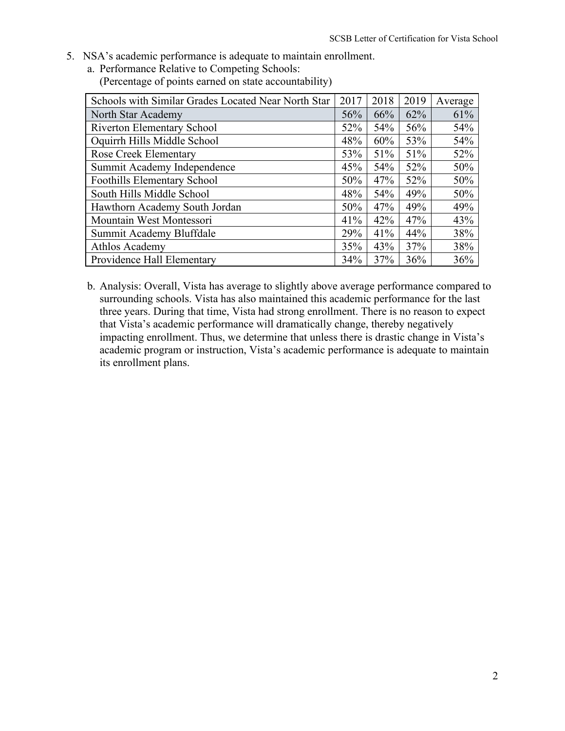- 5. NSA's academic performance is adequate to maintain enrollment.
	- a. Performance Relative to Competing Schools: (Percentage of points earned on state accountability)

| Schools with Similar Grades Located Near North Star | 2017 | 2018 | 2019 | Average |
|-----------------------------------------------------|------|------|------|---------|
| North Star Academy                                  | 56%  | 66%  | 62%  | 61%     |
| <b>Riverton Elementary School</b>                   | 52%  | 54%  | 56%  | 54%     |
| Oquirrh Hills Middle School                         | 48%  | 60%  | 53%  | 54%     |
| <b>Rose Creek Elementary</b>                        | 53%  | 51%  | 51%  | 52%     |
| Summit Academy Independence                         | 45%  | 54%  | 52%  | 50%     |
| Foothills Elementary School                         | 50%  | 47%  | 52%  | 50%     |
| South Hills Middle School                           | 48%  | 54%  | 49%  | 50%     |
| Hawthorn Academy South Jordan                       | 50%  | 47%  | 49%  | 49%     |
| Mountain West Montessori                            | 41%  | 42%  | 47%  | 43%     |
| Summit Academy Bluffdale                            | 29%  | 41%  | 44%  | 38%     |
| Athlos Academy                                      | 35%  | 43%  | 37%  | 38%     |
| Providence Hall Elementary                          | 34%  | 37%  | 36%  | 36%     |

b. Analysis: Overall, Vista has average to slightly above average performance compared to surrounding schools. Vista has also maintained this academic performance for the last three years. During that time, Vista had strong enrollment. There is no reason to expect that Vista's academic performance will dramatically change, thereby negatively impacting enrollment. Thus, we determine that unless there is drastic change in Vista's academic program or instruction, Vista's academic performance is adequate to maintain its enrollment plans.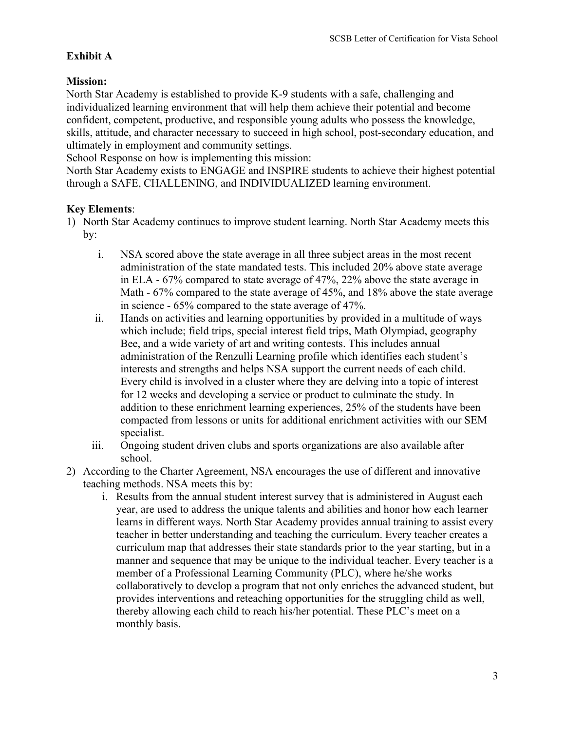### **Exhibit A**

#### **Mission:**

North Star Academy is established to provide K-9 students with a safe, challenging and individualized learning environment that will help them achieve their potential and become confident, competent, productive, and responsible young adults who possess the knowledge, skills, attitude, and character necessary to succeed in high school, post-secondary education, and ultimately in employment and community settings.

School Response on how is implementing this mission:

North Star Academy exists to ENGAGE and INSPIRE students to achieve their highest potential through a SAFE, CHALLENING, and INDIVIDUALIZED learning environment.

#### **Key Elements**:

- 1) North Star Academy continues to improve student learning. North Star Academy meets this by:
	- i. NSA scored above the state average in all three subject areas in the most recent administration of the state mandated tests. This included 20% above state average in ELA - 67% compared to state average of 47%, 22% above the state average in Math - 67% compared to the state average of 45%, and 18% above the state average in science - 65% compared to the state average of 47%.
	- ii. Hands on activities and learning opportunities by provided in a multitude of ways which include; field trips, special interest field trips, Math Olympiad, geography Bee, and a wide variety of art and writing contests. This includes annual administration of the Renzulli Learning profile which identifies each student's interests and strengths and helps NSA support the current needs of each child. Every child is involved in a cluster where they are delving into a topic of interest for 12 weeks and developing a service or product to culminate the study. In addition to these enrichment learning experiences, 25% of the students have been compacted from lessons or units for additional enrichment activities with our SEM specialist.
	- iii. Ongoing student driven clubs and sports organizations are also available after school.
- 2) According to the Charter Agreement, NSA encourages the use of different and innovative teaching methods. NSA meets this by:
	- i. Results from the annual student interest survey that is administered in August each year, are used to address the unique talents and abilities and honor how each learner learns in different ways. North Star Academy provides annual training to assist every teacher in better understanding and teaching the curriculum. Every teacher creates a curriculum map that addresses their state standards prior to the year starting, but in a manner and sequence that may be unique to the individual teacher. Every teacher is a member of a Professional Learning Community (PLC), where he/she works collaboratively to develop a program that not only enriches the advanced student, but provides interventions and reteaching opportunities for the struggling child as well, thereby allowing each child to reach his/her potential. These PLC's meet on a monthly basis.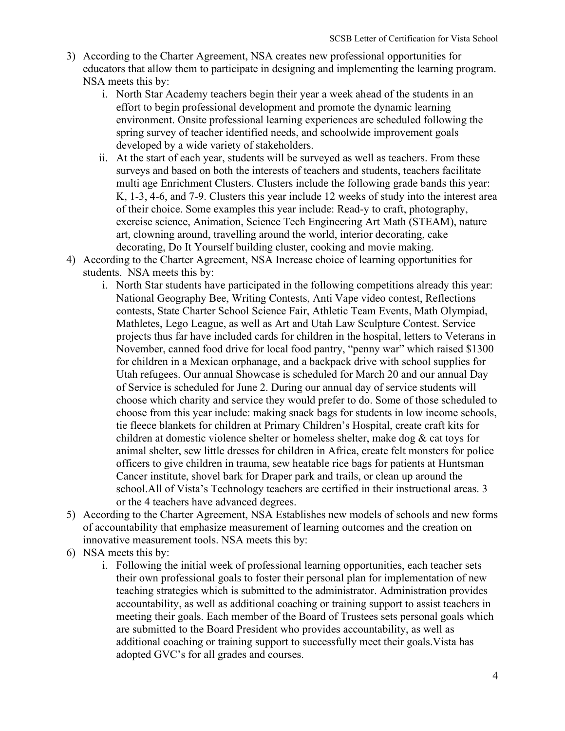- 3) According to the Charter Agreement, NSA creates new professional opportunities for educators that allow them to participate in designing and implementing the learning program. NSA meets this by:
	- i. North Star Academy teachers begin their year a week ahead of the students in an effort to begin professional development and promote the dynamic learning environment. Onsite professional learning experiences are scheduled following the spring survey of teacher identified needs, and schoolwide improvement goals developed by a wide variety of stakeholders.
	- ii. At the start of each year, students will be surveyed as well as teachers. From these surveys and based on both the interests of teachers and students, teachers facilitate multi age Enrichment Clusters. Clusters include the following grade bands this year: K, 1-3, 4-6, and 7-9. Clusters this year include 12 weeks of study into the interest area of their choice. Some examples this year include: Read-y to craft, photography, exercise science, Animation, Science Tech Engineering Art Math (STEAM), nature art, clowning around, travelling around the world, interior decorating, cake decorating, Do It Yourself building cluster, cooking and movie making.
- 4) According to the Charter Agreement, NSA Increase choice of learning opportunities for students. NSA meets this by:
	- i. North Star students have participated in the following competitions already this year: National Geography Bee, Writing Contests, Anti Vape video contest, Reflections contests, State Charter School Science Fair, Athletic Team Events, Math Olympiad, Mathletes, Lego League, as well as Art and Utah Law Sculpture Contest. Service projects thus far have included cards for children in the hospital, letters to Veterans in November, canned food drive for local food pantry, "penny war" which raised \$1300 for children in a Mexican orphanage, and a backpack drive with school supplies for Utah refugees. Our annual Showcase is scheduled for March 20 and our annual Day of Service is scheduled for June 2. During our annual day of service students will choose which charity and service they would prefer to do. Some of those scheduled to choose from this year include: making snack bags for students in low income schools, tie fleece blankets for children at Primary Children's Hospital, create craft kits for children at domestic violence shelter or homeless shelter, make dog  $\&$  cat toys for animal shelter, sew little dresses for children in Africa, create felt monsters for police officers to give children in trauma, sew heatable rice bags for patients at Huntsman Cancer institute, shovel bark for Draper park and trails, or clean up around the school.All of Vista's Technology teachers are certified in their instructional areas. 3 or the 4 teachers have advanced degrees.
- 5) According to the Charter Agreement, NSA Establishes new models of schools and new forms of accountability that emphasize measurement of learning outcomes and the creation on innovative measurement tools. NSA meets this by:
- 6) NSA meets this by:
	- i. Following the initial week of professional learning opportunities, each teacher sets their own professional goals to foster their personal plan for implementation of new teaching strategies which is submitted to the administrator. Administration provides accountability, as well as additional coaching or training support to assist teachers in meeting their goals. Each member of the Board of Trustees sets personal goals which are submitted to the Board President who provides accountability, as well as additional coaching or training support to successfully meet their goals.Vista has adopted GVC's for all grades and courses.